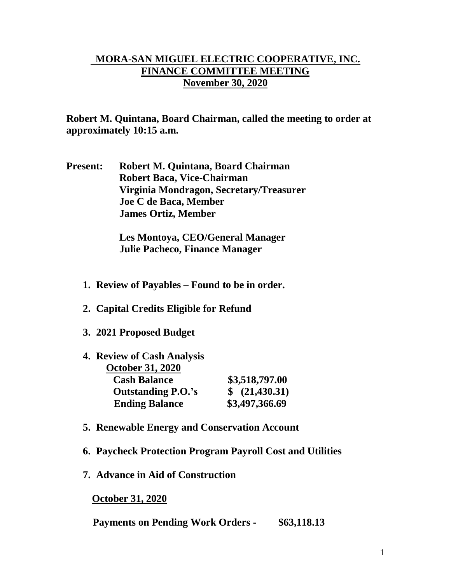## **MORA-SAN MIGUEL ELECTRIC COOPERATIVE, INC. FINANCE COMMITTEE MEETING November 30, 2020**

**Robert M. Quintana, Board Chairman, called the meeting to order at approximately 10:15 a.m.**

**Present: Robert M. Quintana, Board Chairman Robert Baca, Vice-Chairman Virginia Mondragon, Secretary/Treasurer Joe C de Baca, Member James Ortiz, Member**

> **Les Montoya, CEO/General Manager Julie Pacheco, Finance Manager**

- **1. Review of Payables – Found to be in order.**
- **2. Capital Credits Eligible for Refund**
- **3. 2021 Proposed Budget**

| 4. Review of Cash Analysis |                |
|----------------------------|----------------|
| <b>October 31, 2020</b>    |                |
| <b>Cash Balance</b>        | \$3,518,797.00 |
| <b>Outstanding P.O.'s</b>  | \$ (21,430.31) |
| <b>Ending Balance</b>      | \$3,497,366.69 |

- **5. Renewable Energy and Conservation Account**
- **6. Paycheck Protection Program Payroll Cost and Utilities**
- **7. Advance in Aid of Construction**

 **October 31, 2020**

**Payments on Pending Work Orders - \$63,118.13**